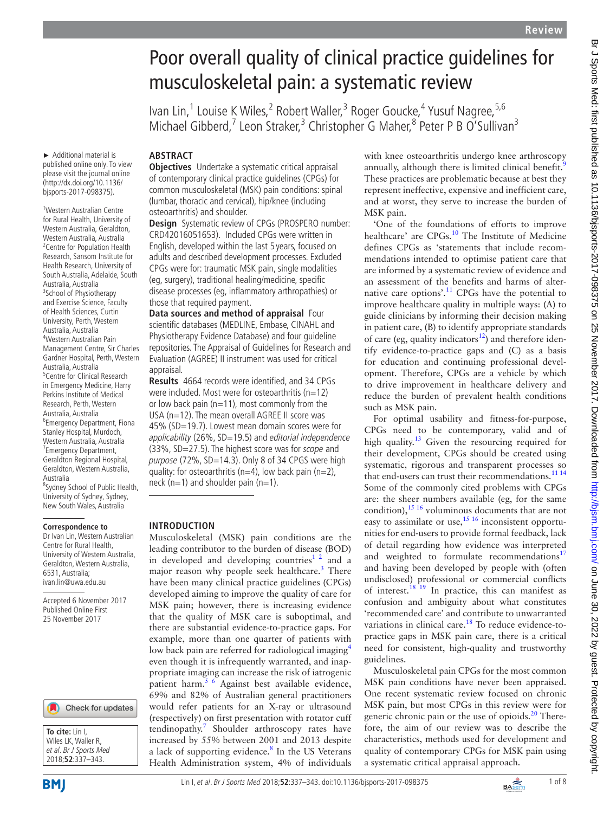# Poor overall quality of clinical practice guidelines for musculoskeletal pain: a systematic review

Ivan Lin,<sup>1</sup> Louise K Wiles,<sup>2</sup> Robert Waller,<sup>3</sup> Roger Goucke,<sup>4</sup> Yusuf Nagree,<sup>5,6</sup> Michael Gibberd,<sup>7</sup> Leon Straker,<sup>3</sup> Christopher G Maher,<sup>8</sup> Peter P B O'Sullivan<sup>3</sup>

# **Abstract**

**Objectives** Undertake a systematic critical appraisal of contemporary clinical practice guidelines (CPGs) for common musculoskeletal (MSK) pain conditions: spinal (lumbar, thoracic and cervical), hip/knee (including osteoarthritis) and shoulder.

**Design** Systematic review of CPGs (PROSPERO number: CRD42016051653). Included CPGs were written in English, developed within the last 5 years, focused on adults and described development processes. Excluded CPGs were for: traumatic MSK pain, single modalities (eg, surgery), traditional healing/medicine, specific disease processes (eg, inflammatory arthropathies) or those that required payment.

**Data sources and method of appraisal** Four scientific databases (MEDLINE, Embase, CINAHL and Physiotherapy Evidence Database) and four guideline repositories. The Appraisal of Guidelines for Research and Evaluation (AGREE) II instrument was used for critical appraisal.

**Results** 4664 records were identified, and 34 CPGs were included. Most were for osteoarthritis (n=12) or low back pain ( $n=11$ ), most commonly from the USA (n=12). The mean overall AGREE II score was 45% (SD=19.7). Lowest mean domain scores were for applicability (26%, SD=19.5) and editorial independence (33%, SD=27.5). The highest score was for scope and purpose (72%, SD=14.3). Only 8 of 34 CPGS were high quality: for osteoarthritis ( $n=4$ ), low back pain ( $n=2$ ), neck ( $n=1$ ) and shoulder pain ( $n=1$ ).

Musculoskeletal (MSK) pain conditions are the leading contributor to the burden of disease (BOD) in developed and developing countries<sup>1 2</sup> and a major reason why people seek healthcare.<sup>3</sup> There have been many clinical practice guidelines (CPGs) developed aiming to improve the quality of care for MSK pain; however, there is increasing evidence that the quality of MSK care is suboptimal, and there are substantial evidence-to-practice gaps. For example, more than one quarter of patients with low back pain are referred for radiological imaging<sup>[4](#page-6-2)</sup> even though it is infrequently warranted, and inappropriate imaging can increase the risk of iatrogenic patient harm.<sup>5 6</sup> Against best available evidence, 69% and 82% of Australian general practitioners would refer patients for an X-ray or ultrasound (respectively) on first presentation with rotator cuff tendinopathy.<sup>7</sup> Shoulder arthroscopy rates have increased by 55% between 2001 and 2013 despite a lack of supporting evidence.<sup>[8](#page-6-5)</sup> In the US Veterans Health Administration system, 4% of individuals

**Introduction**

#### **Correspondence to**

Australia

► Additional material is published online only. To view please visit the journal online (http://dx.doi.org/10.1136/ bjsports-2017-098375). 1 Western Australian Centre for Rural Health, University of Western Australia, Geraldton, Western Australia, Australia <sup>2</sup> Centre for Population Health Research, Sansom Institute for Health Research, University of South Australia, Adelaide, South

Australia, Australia <sup>3</sup>School of Physiotherapy and Exercise Science, Faculty of Health Sciences, Curtin University, Perth, Western Australia, Australia 4 Western Australian Pain Management Centre, Sir Charles Gardner Hospital, Perth, Western

Australia, Australia 5 Centre for Clinical Research in Emergency Medicine, Harry Perkins Institute of Medical Research, Perth, Western Australia, Australia

Dr Ivan Lin, Western Australian Centre for Rural Health, University of Western Australia, Geraldton, Western Australia, 6531, Australia; ivan.lin@uwa.edu.au

6 Emergency Department, Fiona Stanley Hospital, Murdoch, Western Australia, Australia <sup>7</sup> Emergency Department, Geraldton Regional Hospital, Geraldton, Western Australia,

<sup>8</sup>Sydney School of Public Health, University of Sydney, Sydney, New South Wales, Australia

Accepted 6 November 2017 Published Online First 25 November 2017







'One of the foundations of efforts to improve healthcare' are CPGs.<sup>10</sup> The Institute of Medicine defines CPGs as 'statements that include recommendations intended to optimise patient care that are informed by a systematic review of evidence and an assessment of the benefits and harms of alter-native care options'.<sup>[11](#page-6-8)</sup> CPGs have the potential to improve healthcare quality in multiple ways: (A) to guide clinicians by informing their decision making in patient care, (B) to identify appropriate standards of care (eg, quality indicators $12$ ) and therefore identify evidence-to-practice gaps and (C) as a basis for education and continuing professional development. Therefore, CPGs are a vehicle by which to drive improvement in healthcare delivery and reduce the burden of prevalent health conditions such as MSK pain.

For optimal usability and fitness-for-purpose, CPGs need to be contemporary, valid and of high quality.<sup>13</sup> Given the resourcing required for their development, CPGs should be created using systematic, rigorous and transparent processes so that end-users can trust their recommendations.<sup>[11 14](#page-6-8)</sup> Some of the commonly cited problems with CPGs are: the sheer numbers available (eg, for the same condition),  $15 \frac{16}{16}$  voluminous documents that are not easy to assimilate or use,<sup>15 16</sup> inconsistent opportunities for end-users to provide formal feedback, lack of detail regarding how evidence was interpreted and weighted to formulate recommendations<sup>[17](#page-6-12)</sup> and having been developed by people with (often undisclosed) professional or commercial conflicts of interest.  $18^{19}$  In practice, this can manifest as confusion and ambiguity about what constitutes 'recommended care' and contribute to unwarranted variations in clinical care.<sup>18</sup> To reduce evidence-topractice gaps in MSK pain care, there is a critical need for consistent, high-quality and trustworthy guidelines.

Musculoskeletal pain CPGs for the most common MSK pain conditions have never been appraised. One recent systematic review focused on chronic MSK pain, but most CPGs in this review were for generic chronic pain or the use of opioids. $20$  Therefore, the aim of our review was to describe the characteristics, methods used for development and quality of contemporary CPGs for MSK pain using a systematic critical appraisal approach.

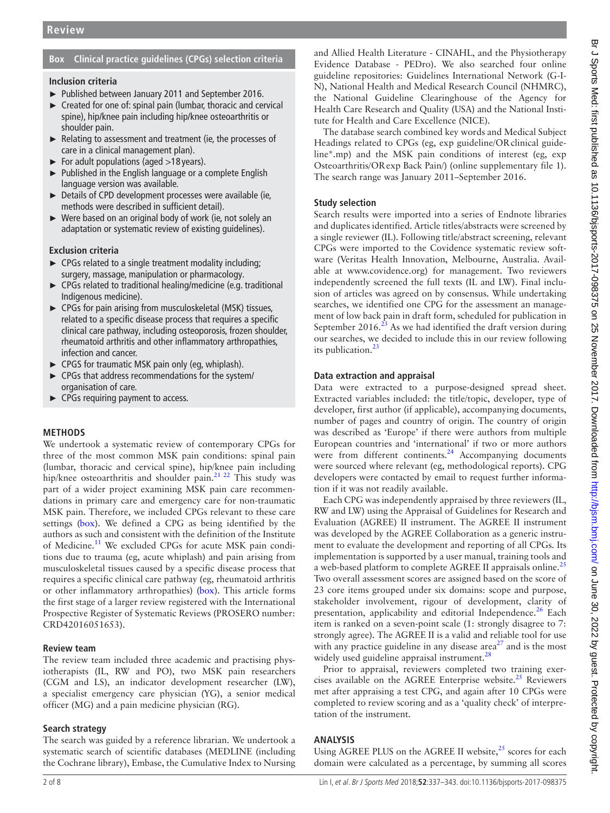## **Box Clinical practice guidelines (CPGs) selection criteria**

#### <span id="page-1-0"></span>**Inclusion criteria**

- ► Published between January 2011 and September 2016.
- ► Created for one of: spinal pain (lumbar, thoracic and cervical spine), hip/knee pain including hip/knee osteoarthritis or shoulder pain.
- ► Relating to assessment and treatment (ie, the processes of care in a clinical management plan).
- $\blacktriangleright$  For adult populations (aged  $>18$  years).
- Published in the English language or a complete English language version was available.
- ► Details of CPD development processes were available (ie, methods were described in sufficient detail).
- ► Were based on an original body of work (ie, not solely an adaptation or systematic review of existing guidelines).

#### **Exclusion criteria**

- ► CPGs related to a single treatment modality including; surgery, massage, manipulation or pharmacology.
- ► CPGs related to traditional healing/medicine (e.g. traditional Indigenous medicine).
- ► CPGs for pain arising from musculoskeletal (MSK) tissues, related to a specific disease process that requires a specific clinical care pathway, including osteoporosis, frozen shoulder, rheumatoid arthritis and other inflammatory arthropathies, infection and cancer.
- ► CPGS for traumatic MSK pain only (eg, whiplash).
- ► CPGs that address recommendations for the system/ organisation of care.
- ► CPGs requiring payment to access.

#### **Methods**

We undertook a systematic review of contemporary CPGs for three of the most common MSK pain conditions: spinal pain (lumbar, thoracic and cervical spine), hip/knee pain including hip/knee osteoarthritis and shoulder pain.<sup>21 22</sup> This study was part of a wider project examining MSK pain care recommendations in primary care and emergency care for non-traumatic MSK pain. Therefore, we included CPGs relevant to these care settings [\(box\)](#page-1-0). We defined a CPG as being identified by the authors as such and consistent with the definition of the Institute of Medicine.<sup>11</sup> We excluded CPGs for acute MSK pain conditions due to trauma (eg, acute whiplash) and pain arising from musculoskeletal tissues caused by a specific disease process that requires a specific clinical care pathway (eg, rheumatoid arthritis or other inflammatory arthropathies) ([box](#page-1-0)). This article forms the first stage of a larger review registered with the International Prospective Register of Systematic Reviews (PROSERO number: CRD42016051653).

#### **Review team**

The review team included three academic and practising physiotherapists (IL, RW and PO), two MSK pain researchers (CGM and LS), an indicator development researcher (LW), a specialist emergency care physician (YG), a senior medical officer (MG) and a pain medicine physician (RG).

#### **Search strategy**

The search was guided by a reference librarian. We undertook a systematic search of scientific databases (MEDLINE (including the Cochrane library), Embase, the Cumulative Index to Nursing

and Allied Health Literature - CINAHL, and the Physiotherapy Evidence Database - PEDro). We also searched four online guideline repositories: Guidelines International Network (G-I-N), National Health and Medical Research Council (NHMRC), the National Guideline Clearinghouse of the Agency for Health Care Research and Quality (USA) and the National Institute for Health and Care Excellence (NICE).

The database search combined key words and Medical Subject Headings related to CPGs (eg, exp guideline/ORclinical guideline\*.mp) and the MSK pain conditions of interest (eg, exp Osteoarthritis/ORexp Back Pain/) (online [supplementary file 1\)](https://dx.doi.org/10.1136/bjsports-2017-098375). The search range was January 2011–September 2016.

#### **Study selection**

Search results were imported into a series of Endnote libraries and duplicates identified. Article titles/abstracts were screened by a single reviewer (IL). Following title/abstract screening, relevant CPGs were imported to the Covidence systematic review software (Veritas Health Innovation, Melbourne, Australia. Available at [www.covidence.org\)](www.covidence.org) for management. Two reviewers independently screened the full texts (IL and LW). Final inclusion of articles was agreed on by consensus. While undertaking searches, we identified one CPG for the assessment an management of low back pain in draft form, scheduled for publication in September  $2016$ .<sup>23</sup> As we had identified the draft version during our searches, we decided to include this in our review following its publication. $23$ 

#### **Data extraction and appraisal**

Data were extracted to a purpose-designed spread sheet. Extracted variables included: the title/topic, developer, type of developer, first author (if applicable), accompanying documents, number of pages and country of origin. The country of origin was described as 'Europe' if there were authors from multiple European countries and 'international' if two or more authors were from different continents.<sup>[24](#page-6-17)</sup> Accompanying documents were sourced where relevant (eg, methodological reports). CPG developers were contacted by email to request further information if it was not readily available.

Each CPG was independently appraised by three reviewers (IL, RW and LW) using the Appraisal of Guidelines for Research and Evaluation (AGREE) II instrument. The AGREE II instrument was developed by the AGREE Collaboration as a generic instrument to evaluate the development and reporting of all CPGs. Its implementation is supported by a user manual, training tools and a web-based platform to complete AGREE II appraisals online.<sup>[25](#page-6-18)</sup> Two overall assessment scores are assigned based on the score of 23 core items grouped under six domains: scope and purpose, stakeholder involvement, rigour of development, clarity of presentation, applicability and editorial Independence.<sup>[26](#page-7-0)</sup> Each item is ranked on a seven-point scale (1: strongly disagree to 7: strongly agree). The AGREE II is a valid and reliable tool for use with any practice guideline in any disease area<sup>27</sup> and is the most widely used guideline appraisal instrument.<sup>28</sup>

Prior to appraisal, reviewers completed two training exer-cises available on the AGREE Enterprise website.<sup>[25](#page-6-18)</sup> Reviewers met after appraising a test CPG, and again after 10 CPGs were completed to review scoring and as a 'quality check' of interpretation of the instrument.

#### **Analysis**

Using AGREE PLUS on the AGREE II website, $2^5$  scores for each domain were calculated as a percentage, by summing all scores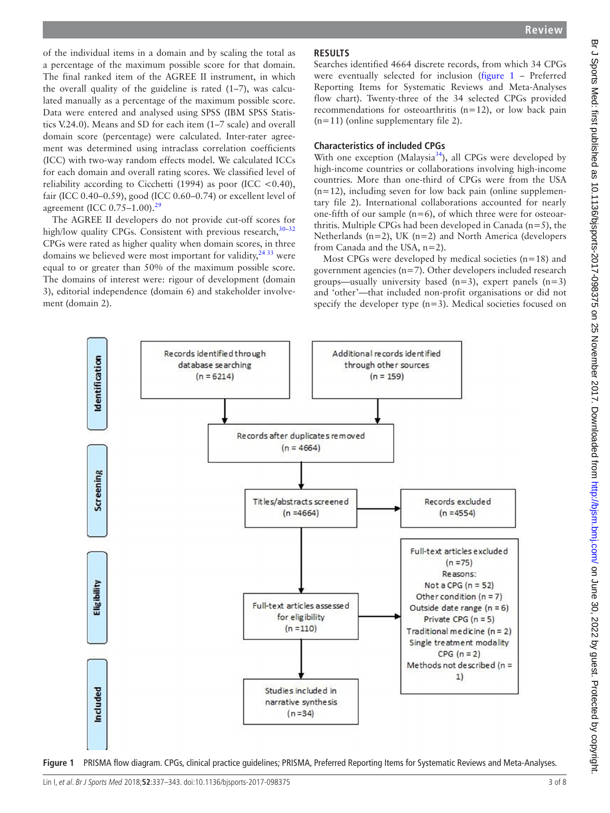of the individual items in a domain and by scaling the total as a percentage of the maximum possible score for that domain. The final ranked item of the AGREE II instrument, in which the overall quality of the guideline is rated  $(1–7)$ , was calculated manually as a percentage of the maximum possible score. Data were entered and analysed using SPSS (IBM SPSS Statistics V.24.0). Means and SD for each item (1–7 scale) and overall domain score (percentage) were calculated. Inter-rater agreement was determined using intraclass correlation coefficients (ICC) with two-way random effects model. We calculated ICCs for each domain and overall rating scores. We classified level of reliability according to Cicchetti (1994) as poor (ICC <0.40), fair (ICC 0.40–0.59), good (ICC 0.60–0.74) or excellent level of agreement (ICC  $0.75-1.00$ ).<sup>[29](#page-7-3)</sup>

The AGREE II developers do not provide cut-off scores for high/low quality CPGs. Consistent with previous research,  $30-32$ CPGs were rated as higher quality when domain scores, in three domains we believed were most important for validity,  $2433$  were equal to or greater than 50% of the maximum possible score. The domains of interest were: rigour of development (domain 3), editorial independence (domain 6) and stakeholder involvement (domain 2).

## **Results**

Searches identified 4664 discrete records, from which 34 CPGs were eventually selected for inclusion ([figure](#page-2-0) 1 – Preferred Reporting Items for Systematic Reviews and Meta-Analyses flow chart). Twenty-three of the 34 selected CPGs provided recommendations for osteoarthritis (n=12), or low back pain  $(n=11)$  (online [supplementary file 2](https://dx.doi.org/10.1136/bjsports-2017-098375)).

#### **Characteristics of included CPGs**

With one exception (Malaysia<sup>34</sup>), all CPGs were developed by high-income countries or collaborations involving high-income countries. More than one-third of CPGs were from the USA  $(n=12)$ , including seven for low back pain (online [supplemen](https://dx.doi.org/10.1136/bjsports-2017-098375)[tary file 2](https://dx.doi.org/10.1136/bjsports-2017-098375)). International collaborations accounted for nearly one-fifth of our sample  $(n=6)$ , of which three were for osteoarthritis. Multiple CPGs had been developed in Canada  $(n=5)$ , the Netherlands (n=2), UK (n=2) and North America (developers from Canada and the USA, n=2).

Most CPGs were developed by medical societies  $(n=18)$  and government agencies ( $n=7$ ). Other developers included research groups—usually university based  $(n=3)$ , expert panels  $(n=3)$ and 'other'—that included non-profit organisations or did not specify the developer type (n=3). Medical societies focused on



<span id="page-2-0"></span>**Figure 1** PRISMA flow diagram. CPGs, clinical practice guidelines; PRISMA, Preferred Reporting Items for Systematic Reviews and Meta-Analyses.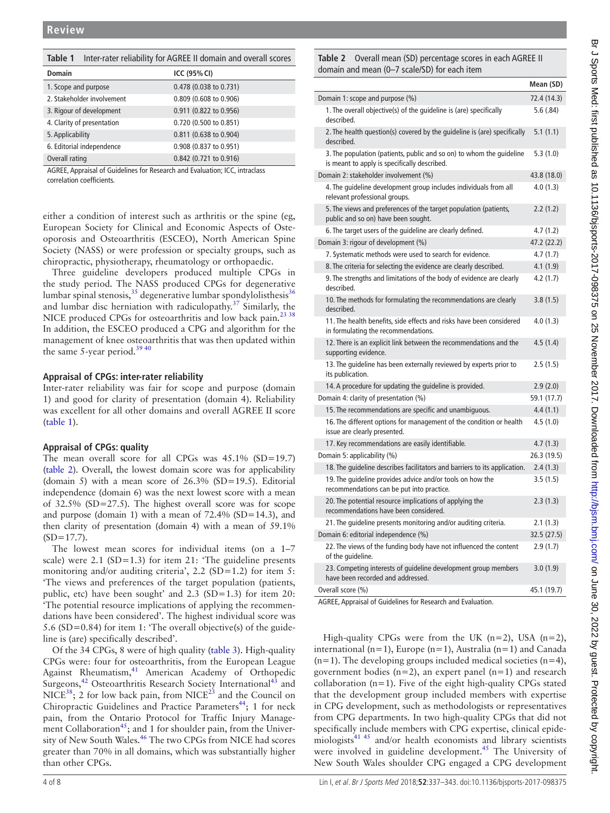<span id="page-3-0"></span>

| Table 1 Inter-rater reliability for AGREE II domain and overall scores |                        |  |  |  |  |  |  |
|------------------------------------------------------------------------|------------------------|--|--|--|--|--|--|
| Domain                                                                 | ICC (95% CI)           |  |  |  |  |  |  |
| 1. Scope and purpose                                                   | 0.478 (0.038 to 0.731) |  |  |  |  |  |  |
| 2. Stakeholder involvement                                             | 0.809 (0.608 to 0.906) |  |  |  |  |  |  |
| 3. Rigour of development                                               | 0.911 (0.822 to 0.956) |  |  |  |  |  |  |
| 4. Clarity of presentation                                             | 0.720 (0.500 to 0.851) |  |  |  |  |  |  |
| 5. Applicability                                                       | 0.811 (0.638 to 0.904) |  |  |  |  |  |  |
| 6. Editorial independence                                              | 0.908 (0.837 to 0.951) |  |  |  |  |  |  |
| Overall rating                                                         | 0.842 (0.721 to 0.916) |  |  |  |  |  |  |

AGREE, Appraisal of Guidelines for Research and Evaluation; ICC, intraclass correlation coefficients.

either a condition of interest such as arthritis or the spine (eg, European Society for Clinical and Economic Aspects of Osteoporosis and Osteoarthritis (ESCEO), North American Spine Society (NASS) or were profession or specialty groups, such as chiropractic, physiotherapy, rheumatology or orthopaedic.

Three guideline developers produced multiple CPGs in the study period. The NASS produced CPGs for degenerative lumbar spinal stenosis,  $35$  degenerative lumbar spondylolisthesis  $36$ and lumbar disc herniation with radiculopathy. $37$  Similarly, the NICE produced CPGs for osteoarthritis and low back pain.<sup>[23 38](#page-6-16)</sup> In addition, the ESCEO produced a CPG and algorithm for the management of knee osteoarthritis that was then updated within the same 5-year period.<sup>[39 40](#page-7-9)</sup>

## **Appraisal of CPGs: inter-rater reliability**

Inter-rater reliability was fair for scope and purpose (domain 1) and good for clarity of presentation (domain 4). Reliability was excellent for all other domains and overall AGREE II score ([table](#page-3-0) 1).

## **Appraisal of CPGs: quality**

The mean overall score for all CPGs was  $45.1\%$  (SD=19.7) ([table](#page-3-1) 2). Overall, the lowest domain score was for applicability (domain 5) with a mean score of  $26.3\%$  (SD=19.5). Editorial independence (domain 6) was the next lowest score with a mean of 32.5% (SD=27.5). The highest overall score was for scope and purpose (domain 1) with a mean of  $72.4\%$  (SD=14.3), and then clarity of presentation (domain 4) with a mean of 59.1%  $(SD=17.7)$ .

The lowest mean scores for individual items (on a 1–7 scale) were 2.1 (SD=1.3) for item 21: 'The guideline presents monitoring and/or auditing criteria',  $2.2$  (SD=1.2) for item 5: 'The views and preferences of the target population (patients, public, etc) have been sought' and 2.3 (SD=1.3) for item 20: 'The potential resource implications of applying the recommendations have been considered'. The highest individual score was 5.6 (SD=0.84) for item 1: 'The overall objective(s) of the guideline is (are) specifically described'.

Of the 34 CPGs, 8 were of high quality [\(table](#page-4-0) 3). High-quality CPGs were: four for osteoarthritis, from the European League Against Rheumatism,<sup>[41](#page-7-10)</sup> American Academy of Orthopedic Surgeons, $42$  Osteoarthritis Research Society International<sup>43</sup> and  $NICE<sup>38</sup>$ ; 2 for low back pain, from  $NICE<sup>23</sup>$  $NICE<sup>23</sup>$  $NICE<sup>23</sup>$  and the Council on Chiropractic Guidelines and Practice Parameters<sup>44</sup>; 1 for neck pain, from the Ontario Protocol for Traffic Injury Manage-ment Collaboration<sup>[45](#page-7-15)</sup>; and 1 for shoulder pain, from the Univer-sity of New South Wales.<sup>[46](#page-7-16)</sup> The two CPGs from NICE had scores greater than 70% in all domains, which was substantially higher than other CPGs.

## <span id="page-3-1"></span>**Table 2** Overall mean (SD) percentage scores in each AGREE II domain and mean (0–7 scale/SD) for each item

|                                                                                                                      | Mean (SD)   |
|----------------------------------------------------------------------------------------------------------------------|-------------|
| Domain 1: scope and purpose (%)                                                                                      | 72.4 (14.3) |
| 1. The overall objective(s) of the quideline is (are) specifically<br>described.                                     | 5.6 (.84)   |
| 2. The health question(s) covered by the quideline is (are) specifically<br>described.                               | 5.1(1.1)    |
| 3. The population (patients, public and so on) to whom the quideline<br>is meant to apply is specifically described. | 5.3(1.0)    |
| Domain 2: stakeholder involvement (%)                                                                                | 43.8 (18.0) |
| 4. The guideline development group includes individuals from all<br>relevant professional groups.                    | 4.0(1.3)    |
| 5. The views and preferences of the target population (patients,<br>public and so on) have been sought.              | 2.2(1.2)    |
| 6. The target users of the guideline are clearly defined.                                                            | 4.7 (1.2)   |
| Domain 3: rigour of development (%)                                                                                  | 47.2 (22.2) |
| 7. Systematic methods were used to search for evidence.                                                              | 4.7 (1.7)   |
| 8. The criteria for selecting the evidence are clearly described.                                                    | 4.1(1.9)    |
| 9. The strengths and limitations of the body of evidence are clearly<br>described.                                   | 4.2 (1.7)   |
| 10. The methods for formulating the recommendations are clearly<br>described.                                        | 3.8(1.5)    |
| 11. The health benefits, side effects and risks have been considered<br>in formulating the recommendations.          | 4.0(1.3)    |
| 12. There is an explicit link between the recommendations and the<br>supporting evidence.                            | 4.5(1.4)    |
| 13. The guideline has been externally reviewed by experts prior to<br>its publication.                               | 2.5(1.5)    |
| 14. A procedure for updating the guideline is provided.                                                              | 2.9(2.0)    |
| Domain 4: clarity of presentation (%)                                                                                | 59.1 (17.7) |
| 15. The recommendations are specific and unambiguous.                                                                | 4.4(1.1)    |
| 16. The different options for management of the condition or health<br>issue are clearly presented.                  | 4.5(1.0)    |
| 17. Key recommendations are easily identifiable.                                                                     | 4.7(1.3)    |
| Domain 5: applicability (%)                                                                                          | 26.3 (19.5) |
| 18. The quideline describes facilitators and barriers to its application.                                            | 2.4(1.3)    |
| 19. The quideline provides advice and/or tools on how the<br>recommendations can be put into practice.               | 3.5(1.5)    |
| 20. The potential resource implications of applying the<br>recommendations have been considered.                     | 2.3(1.3)    |
| 21. The guideline presents monitoring and/or auditing criteria.                                                      | 2.1(1.3)    |
| Domain 6: editorial independence (%)                                                                                 | 32.5 (27.5) |
| 22. The views of the funding body have not influenced the content<br>of the quideline.                               | 2.9(1.7)    |
| 23. Competing interests of guideline development group members<br>have been recorded and addressed.                  | 3.0(1.9)    |
| Overall score (%)                                                                                                    | 45.1 (19.7) |

AGREE, Appraisal of Guidelines for Research and Evaluation.

High-quality CPGs were from the UK  $(n=2)$ , USA  $(n=2)$ , international  $(n=1)$ , Europe  $(n=1)$ , Australia  $(n=1)$  and Canada  $(n=1)$ . The developing groups included medical societies  $(n=4)$ , government bodies  $(n=2)$ , an expert panel  $(n=1)$  and research collaboration  $(n=1)$ . Five of the eight high-quality CPGs stated that the development group included members with expertise in CPG development, such as methodologists or representatives from CPG departments. In two high-quality CPGs that did not specifically include members with CPG expertise, clinical epide $miologists<sup>41 45</sup>$  and/or health economists and library scientists were involved in guideline development.<sup>45</sup> The University of New South Wales shoulder CPG engaged a CPG development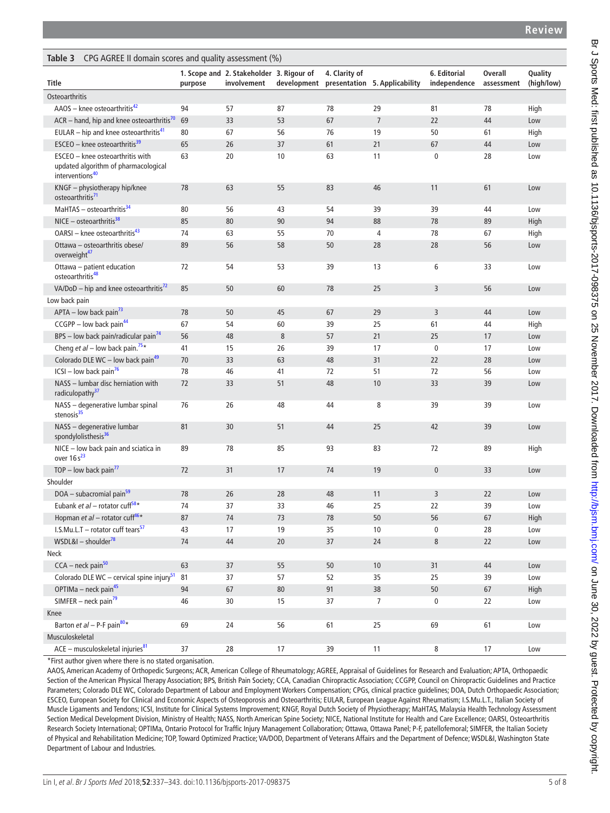<span id="page-4-0"></span>

| CPG AGREE II domain scores and quality assessment (%)<br>Table 3                                        |         |                                                         |                  |               |                               |                              |                              |                       |  |  |  |
|---------------------------------------------------------------------------------------------------------|---------|---------------------------------------------------------|------------------|---------------|-------------------------------|------------------------------|------------------------------|-----------------------|--|--|--|
| <b>Title</b>                                                                                            | purpose | 1. Scope and 2. Stakeholder 3. Rigour of<br>involvement | development      | 4. Clarity of | presentation 5. Applicability | 6. Editorial<br>independence | <b>Overall</b><br>assessment | Quality<br>(high/low) |  |  |  |
| Osteoarthritis                                                                                          |         |                                                         |                  |               |                               |                              |                              |                       |  |  |  |
| AAOS - knee osteoarthritis <sup>42</sup>                                                                | 94      | 57                                                      | 87               | 78            | 29                            | 81                           | 78                           | High                  |  |  |  |
| $ACR$ – hand, hip and knee osteoarthritis <sup>70</sup>                                                 | 69      | 33                                                      | 53               | 67            | $\overline{7}$                | 22                           | 44                           | Low                   |  |  |  |
| EULAR – hip and knee osteoarthritis <sup>41</sup>                                                       | 80      | 67                                                      | 56               | 76            | 19                            | 50                           | 61                           | High                  |  |  |  |
| ESCEO - knee osteoarthritis <sup>39</sup>                                                               | 65      | 26                                                      | 37               | 61            | 21                            | 67                           | 44                           | Low                   |  |  |  |
| ESCEO - knee osteoarthritis with<br>updated algorithm of pharmacological<br>interventions <sup>40</sup> | 63      | 20                                                      | 10               | 63            | 11                            | 0                            | 28                           | Low                   |  |  |  |
| KNGF - physiotherapy hip/knee<br>osteoarthritis <sup>71</sup>                                           | 78      | 63                                                      | 55               | 83            | 46                            | 11                           | 61                           | Low                   |  |  |  |
| MaHTAS - osteoarthritis <sup>34</sup>                                                                   | 80      | 56                                                      | 43               | 54            | 39                            | 39                           | 44                           | Low                   |  |  |  |
| $NICE - osteoarthritis38$                                                                               | 85      | 80                                                      | 90               | 94            | 88                            | 78                           | 89                           | High                  |  |  |  |
| OARSI - knee osteoarthritis <sup>43</sup>                                                               | 74      | 63                                                      | 55               | 70            | 4                             | 78                           | 67                           | High                  |  |  |  |
| Ottawa - osteoarthritis obese/<br>overweight <sup>47</sup>                                              | 89      | 56                                                      | 58               | 50            | 28                            | 28                           | 56                           | Low                   |  |  |  |
| Ottawa - patient education<br>osteoarthritis <sup>48</sup>                                              | 72      | 54                                                      | 53               | 39            | 13                            | 6                            | 33                           | Low                   |  |  |  |
| VA/DoD – hip and knee osteoarthritis $^{72}$                                                            | 85      | 50                                                      | 60               | 78            | 25                            | 3                            | 56                           | Low                   |  |  |  |
| Low back pain                                                                                           |         |                                                         |                  |               |                               |                              |                              |                       |  |  |  |
| $APTA$ – low back pain <sup>73</sup>                                                                    | 78      | 50                                                      | 45               | 67            | 29                            | 3                            | 44                           | Low                   |  |  |  |
| CCGPP – low back pain <sup>44</sup>                                                                     | 67      | 54                                                      | 60               | 39            | 25                            | 61                           | 44                           | High                  |  |  |  |
| BPS – low back pain/radicular pain <sup>74</sup>                                                        | 56      | 48                                                      | $\boldsymbol{8}$ | 57            | $21$                          | 25                           | 17                           | Low                   |  |  |  |
| Cheng et al – low back pain. <sup>75*</sup>                                                             | 41      | 15                                                      | 26               | 39            | 17                            | 0                            | 17                           | Low                   |  |  |  |
| Colorado DLE WC - low back pain <sup>49</sup>                                                           | 70      | 33                                                      | 63               | 48            | 31                            | 22                           | 28                           | Low                   |  |  |  |
| $ CS $ – low back pain <sup>76</sup>                                                                    | 78      | 46                                                      | 41               | 72            | 51                            | 72                           | 56                           | Low                   |  |  |  |
| NASS - lumbar disc herniation with<br>radiculopathy <sup>37</sup>                                       | 72      | 33                                                      | 51               | 48            | 10                            | 33                           | 39                           | Low                   |  |  |  |
| NASS - degenerative lumbar spinal<br>stenosis <sup>35</sup>                                             | 76      | 26                                                      | 48               | 44            | 8                             | 39                           | 39                           | Low                   |  |  |  |
| NASS - degenerative lumbar<br>spondylolisthesis <sup>36</sup>                                           | 81      | 30                                                      | 51               | 44            | 25                            | 42                           | 39                           | Low                   |  |  |  |
| NICE - low back pain and sciatica in<br>over $16s23$                                                    | 89      | 78                                                      | 85               | 93            | 83                            | 72                           | 89                           | High                  |  |  |  |
| TOP – low back pain <sup>77</sup>                                                                       | 72      | 31                                                      | 17               | 74            | 19                            | $\pmb{0}$                    | 33                           | Low                   |  |  |  |
| Shoulder                                                                                                |         |                                                         |                  |               |                               |                              |                              |                       |  |  |  |
| $DOA - subacromial pain59$                                                                              | 78      | 26                                                      | 28               | 48            | 11                            | 3                            | 22                           | Low                   |  |  |  |
| Eubank et al - rotator cuff <sup>58*</sup>                                                              | 74      | 37                                                      | 33               | 46            | 25                            | 22                           | 39                           | Low                   |  |  |  |
| Hopman et al - rotator cuff <sup>46*</sup>                                                              | 87      | 74                                                      | 73               | 78            | $50\,$                        | 56                           | 67                           | High                  |  |  |  |
| I.S.Mu.L.T – rotator cuff tears <sup>57</sup>                                                           | 43      | 17                                                      | 19               | 35            | 10                            | $\mathbf 0$                  | 28                           | Low                   |  |  |  |
| WSDL&I - shoulder <sup>78</sup>                                                                         | 74      | $44\,$                                                  | 20               | $37\,$        | 24                            | $\,8\,$                      | 22                           | Low                   |  |  |  |
| Neck                                                                                                    |         |                                                         |                  |               |                               |                              |                              |                       |  |  |  |
| $CCA - neck pain50$                                                                                     | 63      | 37                                                      | 55               | 50            | 10                            | 31                           | 44                           | Low                   |  |  |  |
| Colorado DLE WC - cervical spine injury <sup>51</sup>                                                   | 81      | 37                                                      | 57               | 52            | 35                            | 25                           | 39                           | Low                   |  |  |  |
| OPTIMa - neck pain <sup>45</sup>                                                                        | 94      | 67                                                      | 80               | 91            | 38                            | 50                           | 67                           | High                  |  |  |  |
| SIMFER – neck pain $^{79}$                                                                              | 46      | 30                                                      | 15               | 37            | $\overline{7}$                | $\pmb{0}$                    | 22                           | Low                   |  |  |  |
| Knee                                                                                                    |         |                                                         |                  |               |                               |                              |                              |                       |  |  |  |
| Barton et al - P-F pain <sup>80*</sup>                                                                  | 69      | 24                                                      | 56               | 61            | 25                            | 69                           | 61                           | Low                   |  |  |  |
| Musculoskeletal                                                                                         |         |                                                         |                  |               |                               |                              |                              |                       |  |  |  |
| ACE - musculoskeletal injuries <sup>81</sup>                                                            | 37      | 28                                                      | 17               | 39            | 11                            | 8                            | 17                           | Low                   |  |  |  |

\*First author given where there is no stated organisation.

AAOS, American Academy of Orthopedic Surgeons; ACR, American College of Rheumatology; AGREE, Appraisal of Guidelines for Research and Evaluation; APTA, Orthopaedic Section of the American Physical Therapy Association; BPS, British Pain Society; CCA, Canadian Chiropractic Association; CCGPP, Council on Chiropractic Guidelines and Practice Parameters; Colorado DLE WC, Colorado Department of Labour and Employment Workers Compensation; CPGs, clinical practice guidelines; DOA, Dutch Orthopaedic Association; ESCEO, European Society for Clinical and Economic Aspects of Osteoporosis and Osteoarthritis; EULAR, European League Against Rheumatism; I.S.Mu.L.T., Italian Society of Muscle Ligaments and Tendons; ICSI, Institute for Clinical Systems Improvement; KNGF, Royal Dutch Society of Physiotherapy; MaHTAS, Malaysia Health Technology Assessment Section Medical Development Division, Ministry of Health; NASS, North American Spine Society; NICE, National Institute for Health and Care Excellence; OARSI, Osteoarthritis Research Society International; OPTIMa, Ontario Protocol for Traffic Injury Management Collaboration; Ottawa, Ottawa Panel; P-F, patellofemoral; SIMFER, the Italian Society of Physical and Rehabilitation Medicine; TOP, Toward Optimized Practice; VA/DOD, Department of Veterans Affairs and the Department of Defence; WSDL&I, Washington State Department of Labour and Industries.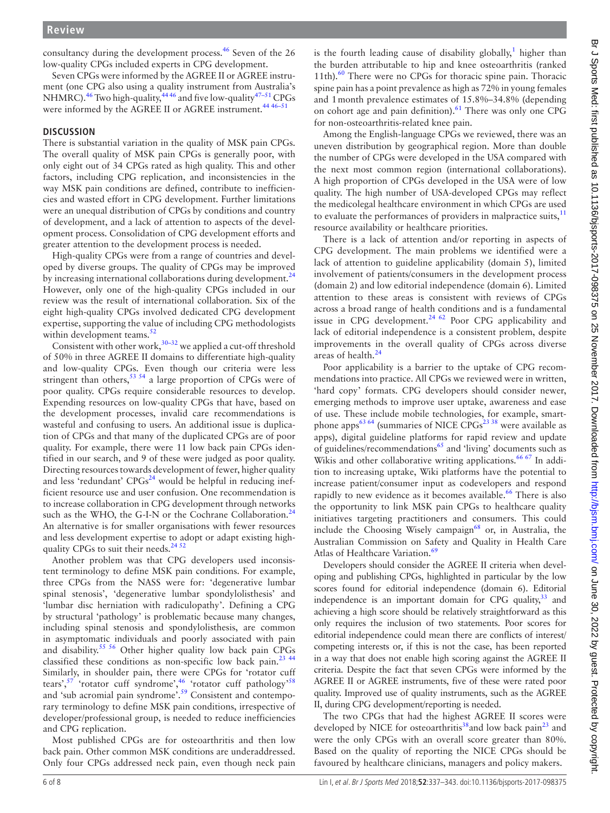consultancy during the development process.<sup>[46](#page-7-16)</sup> Seven of the 26 low-quality CPGs included experts in CPG development.

Seven CPGs were informed by the AGREE II or AGREE instrument (one CPG also using a quality instrument from Australia's NHMRC).<sup>46</sup> Two high-quality, $4446$  and five low-quality  $47-51$  CPGs were informed by the AGREE II or AGREE instrument.<sup>44 46-5</sup>

#### **Discussion**

There is substantial variation in the quality of MSK pain CPGs. The overall quality of MSK pain CPGs is generally poor, with only eight out of 34 CPGs rated as high quality. This and other factors, including CPG replication, and inconsistencies in the way MSK pain conditions are defined, contribute to inefficiencies and wasted effort in CPG development. Further limitations were an unequal distribution of CPGs by conditions and country of development, and a lack of attention to aspects of the development process. Consolidation of CPG development efforts and greater attention to the development process is needed.

High-quality CPGs were from a range of countries and developed by diverse groups. The quality of CPGs may be improved by increasing international collaborations during development.<sup>[24](#page-6-17)</sup> However, only one of the high-quality CPGs included in our review was the result of international collaboration. Six of the eight high-quality CPGs involved dedicated CPG development expertise, supporting the value of including CPG methodologists within development teams.<sup>[52](#page-7-38)</sup>

Consistent with other work,  $30-32$  we applied a cut-off threshold of 50% in three AGREE II domains to differentiate high-quality and low-quality CPGs. Even though our criteria were less stringent than others,  $53 \times 4$  a large proportion of CPGs were of poor quality. CPGs require considerable resources to develop. Expending resources on low-quality CPGs that have, based on the development processes, invalid care recommendations is wasteful and confusing to users. An additional issue is duplication of CPGs and that many of the duplicated CPGs are of poor quality. For example, there were 11 low back pain CPGs identified in our search, and 9 of these were judged as poor quality. Directing resources towards development of fewer, higher quality and less 'redundant'  $CPGs^{24}$  would be helpful in reducing inefficient resource use and user confusion. One recommendation is to increase collaboration in CPG development through networks such as the WHO, the G-I-N or the Cochrane Collaboration.<sup>[24](#page-6-17)</sup> An alternative is for smaller organisations with fewer resources and less development expertise to adopt or adapt existing highquality CPGs to suit their needs. $2452$ 

Another problem was that CPG developers used inconsistent terminology to define MSK pain conditions. For example, three CPGs from the NASS were for: 'degenerative lumbar spinal stenosis', 'degenerative lumbar spondylolisthesis' and 'lumbar disc herniation with radiculopathy'. Defining a CPG by structural 'pathology' is problematic because many changes, including spinal stenosis and spondylolisthesis, are common in asymptomatic individuals and poorly associated with pain and disability.<sup>55 56</sup> Other higher quality low back pain CPGs classified these conditions as non-specific low back pain.<sup>23</sup>  $44$ Similarly, in shoulder pain, there were CPGs for 'rotator cuff tears',<sup>[57](#page-7-31)</sup> 'rotator cuff syndrome',<sup>[46](#page-7-16)</sup> 'rotator cuff pathology<sup>[58](#page-7-30)</sup> and 'sub acromial pain syndrome'.[59](#page-7-29) Consistent and contemporary terminology to define MSK pain conditions, irrespective of developer/professional group, is needed to reduce inefficiencies and CPG replication.

Most published CPGs are for osteoarthritis and then low back pain. Other common MSK conditions are underaddressed. Only four CPGs addressed neck pain, even though neck pain

is the fourth leading cause of disability globally,<sup>1</sup> higher than the burden attributable to hip and knee osteoarthritis (ranked 11th).<sup>60</sup> There were no CPGs for thoracic spine pain. Thoracic spine pain has a point prevalence as high as 72% in young females and 1month prevalence estimates of 15.8%–34.8% (depending on cohort age and pain definition). $61$  There was only one CPG for non-osteoarthritis-related knee pain.

Among the English-language CPGs we reviewed, there was an uneven distribution by geographical region. More than double the number of CPGs were developed in the USA compared with the next most common region (international collaborations). A high proportion of CPGs developed in the USA were of low quality. The high number of USA-developed CPGs may reflect the medicolegal healthcare environment in which CPGs are used to evaluate the performances of providers in malpractice suits, $11$ resource availability or healthcare priorities.

There is a lack of attention and/or reporting in aspects of CPG development. The main problems we identified were a lack of attention to guideline applicability (domain 5), limited involvement of patients/consumers in the development process (domain 2) and low editorial independence (domain 6). Limited attention to these areas is consistent with reviews of CPGs across a broad range of health conditions and is a fundamental issue in CPG development.<sup>[24 62](#page-6-17)</sup> Poor CPG applicability and lack of editorial independence is a consistent problem, despite improvements in the overall quality of CPGs across diverse areas of health.<sup>[24](#page-6-17)</sup>

Poor applicability is a barrier to the uptake of CPG recommendations into practice. All CPGs we reviewed were in written, 'hard copy' formats. CPG developers should consider newer, emerging methods to improve user uptake, awareness and ease of use. These include mobile technologies, for example, smartphone apps<sup>63 64</sup> (summaries of NICE CPGs<sup>23 38</sup> were available as apps), digital guideline platforms for rapid review and update of guidelines/recommendations<sup>65</sup> and 'living' documents such as Wikis and other collaborative writing applications.<sup>66 67</sup> In addition to increasing uptake, Wiki platforms have the potential to increase patient/consumer input as codevelopers and respond rapidly to new evidence as it becomes available.<sup>66</sup> There is also the opportunity to link MSK pain CPGs to healthcare quality initiatives targeting practitioners and consumers. This could include the Choosing Wisely campaign<sup>68</sup> or, in Australia, the Australian Commission on Safety and Quality in Health Care Atlas of Healthcare Variation.<sup>69</sup>

Developers should consider the AGREE II criteria when developing and publishing CPGs, highlighted in particular by the low scores found for editorial independence (domain 6). Editorial independence is an important domain for CPG quality, $33$  and achieving a high score should be relatively straightforward as this only requires the inclusion of two statements. Poor scores for editorial independence could mean there are conflicts of interest/ competing interests or, if this is not the case, has been reported in a way that does not enable high scoring against the AGREE II criteria. Despite the fact that seven CPGs were informed by the AGREE II or AGREE instruments, five of these were rated poor quality. Improved use of quality instruments, such as the AGREE II, during CPG development/reporting is needed.

The two CPGs that had the highest AGREE II scores were developed by NICE for osteoarthritis $38$  and low back pain<sup>[23](#page-6-16)</sup> and were the only CPGs with an overall score greater than 80%. Based on the quality of reporting the NICE CPGs should be favoured by healthcare clinicians, managers and policy makers.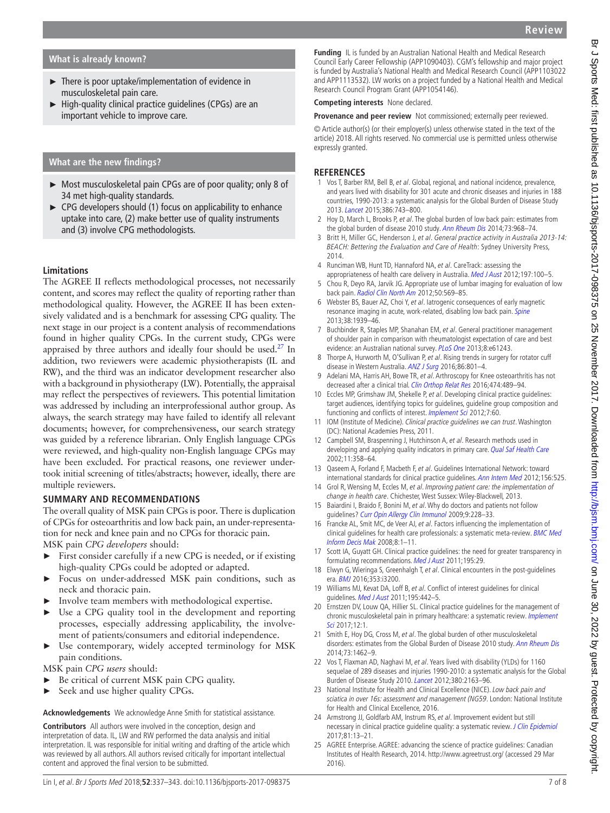#### **What is already known?**

- ► There is poor uptake/implementation of evidence in musculoskeletal pain care.
- ► High-quality clinical practice guidelines (CPGs) are an important vehicle to improve care.

## **What are the new findings?**

- ► Most musculoskeletal pain CPGs are of poor quality; only 8 of 34 met high-quality standards.
- ► CPG developers should (1) focus on applicability to enhance uptake into care, (2) make better use of quality instruments and (3) involve CPG methodologists.

#### **Limitations**

The AGREE II reflects methodological processes, not necessarily content, and scores may reflect the quality of reporting rather than methodological quality. However, the AGREE II has been extensively validated and is a benchmark for assessing CPG quality. The next stage in our project is a content analysis of recommendations found in higher quality CPGs. In the current study, CPGs were appraised by three authors and ideally four should be used. $27 \text{ In}$  $27 \text{ In}$ addition, two reviewers were academic physiotherapists (IL and RW), and the third was an indicator development researcher also with a background in physiotherapy (LW). Potentially, the appraisal may reflect the perspectives of reviewers. This potential limitation was addressed by including an interprofessional author group. As always, the search strategy may have failed to identify all relevant documents; however, for comprehensiveness, our search strategy was guided by a reference librarian. Only English language CPGs were reviewed, and high-quality non-English language CPGs may have been excluded. For practical reasons, one reviewer undertook initial screening of titles/abstracts; however, ideally, there are multiple reviewers.

## **Summary and recommendations**

The overall quality of MSK pain CPGs is poor. There is duplication of CPGs for osteoarthritis and low back pain, an under-representation for neck and knee pain and no CPGs for thoracic pain. MSK pain *CPG developers* should:

- First consider carefully if a new CPG is needed, or if existing high-quality CPGs could be adopted or adapted.
- Focus on under-addressed MSK pain conditions, such as neck and thoracic pain.
- Involve team members with methodological expertise.
- ► Use a CPG quality tool in the development and reporting processes, especially addressing applicability, the involvement of patients/consumers and editorial independence.
- ► Use contemporary, widely accepted terminology for MSK pain conditions.

MSK pain *CPG users* should:

- Be critical of current MSK pain CPG quality.
- Seek and use higher quality CPGs.

**Acknowledgements** We acknowledge Anne Smith for statistical assistance.

**Contributors** All authors were involved in the conception, design and interpretation of data. IL, LW and RW performed the data analysis and initial interpretation. IL was responsible for initial writing and drafting of the article which was reviewed by all authors. All authors revised critically for important intellectual content and approved the final version to be submitted.

**Funding** IL is funded by an Australian National Health and Medical Research Council Early Career Fellowship (APP1090403). CGM's fellowship and major project is funded by Australia's National Health and Medical Research Council (APP1103022 and APP1113532). LW works on a project funded by a National Health and Medical Research Council Program Grant (APP1054146).

**Competing interests** None declared.

**Provenance and peer review** Not commissioned; externally peer reviewed.

© Article author(s) (or their employer(s) unless otherwise stated in the text of the article) 2018. All rights reserved. No commercial use is permitted unless otherwise expressly granted.

## **References**

- <span id="page-6-0"></span>1 Vos T, Barber RM, Bell B, et al. Global, regional, and national incidence, prevalence, and years lived with disability for 301 acute and chronic diseases and injuries in 188 countries, 1990-2013: a systematic analysis for the Global Burden of Disease Study 2013. [Lancet](http://dx.doi.org/10.1016/S0140-6736(15)60692-4) 2015;386:743–800.
- 2 Hoy D, March L, Brooks P, et al. The global burden of low back pain: estimates from the global burden of disease 2010 study. [Ann Rheum Dis](http://dx.doi.org/10.1136/annrheumdis-2013-204428) 2014;73:968–74.
- <span id="page-6-1"></span>3 Britt H, Miller GC, Henderson J, et al. General practice activity in Australia 2013-14: BEACH: Bettering the Evaluation and Care of Health: Sydney University Press, 2014.
- <span id="page-6-2"></span>4 Runciman WB, Hunt TD, Hannaford NA, et al. CareTrack: assessing the appropriateness of health care delivery in Australia. [Med J Aust](http://dx.doi.org/10.5694/mja12.10510) 2012;197:100–5.
- <span id="page-6-3"></span>5 Chou R, Deyo RA, Jarvik JG. Appropriate use of lumbar imaging for evaluation of low back pain. [Radiol Clin North Am](http://dx.doi.org/10.1016/j.rcl.2012.04.005) 2012;50:569–85.
- 6 Webster BS, Bauer AZ, Choi Y, et al. Iatrogenic consequences of early magnetic resonance imaging in acute, work-related, disabling low back pain. [Spine](http://dx.doi.org/10.1097/BRS.0b013e3182a42eb6) 2013;38:1939–46.
- <span id="page-6-4"></span>7 Buchbinder R, Staples MP, Shanahan EM, et al. General practitioner management of shoulder pain in comparison with rheumatologist expectation of care and best evidence: an Australian national survey. [PLoS One](http://dx.doi.org/10.1371/journal.pone.0061243) 2013;8:e61243.
- <span id="page-6-5"></span>8 Thorpe A, Hurworth M, O'Sullivan P, et al. Rising trends in surgery for rotator cuff disease in Western Australia. [ANZ J Surg](http://dx.doi.org/10.1111/ans.13691) 2016;86:801–4.
- <span id="page-6-6"></span>9 Adelani MA, Harris AH, Bowe TR, et al. Arthroscopy for Knee osteoarthritis has not decreased after a clinical trial. [Clin Orthop Relat Res](http://dx.doi.org/10.1007/s11999-015-4514-4) 2016;474:489-94.
- <span id="page-6-7"></span>10 Eccles MP, Grimshaw JM, Shekelle P, et al. Developing clinical practice guidelines: target audiences, identifying topics for guidelines, guideline group composition and functioning and conflicts of interest. [Implement Sci](http://dx.doi.org/10.1186/1748-5908-7-60) 2012;7:60.
- <span id="page-6-8"></span>11 IOM (Institute of Medicine). Clinical practice guidelines we can trust. Washington (DC): National Academies Press, 2011.
- <span id="page-6-9"></span>12 Campbell SM, Braspenning J, Hutchinson A, et al. Research methods used in developing and applying quality indicators in primary care. [Qual Saf Health Care](http://dx.doi.org/10.1136/qhc.11.4.358) 2002;11:358–64.
- <span id="page-6-10"></span>13 Qaseem A, Forland F, Macbeth F, et al. Guidelines International Network: toward international standards for clinical practice guidelines. [Ann Intern Med](http://dx.doi.org/10.7326/0003-4819-156-7-201204030-00009) 2012;156:525.
- 14 Grol R, Wensing M, Eccles M, et al. Improving patient care: the implementation of change in health care. Chichester, West Sussex: Wiley-Blackwell, 2013.
- <span id="page-6-11"></span>15 Baiardini I, Braido F, Bonini M, et al. Why do doctors and patients not follow guidelines? [Curr Opin Allergy Clin Immunol](http://dx.doi.org/10.1097/ACI.0b013e32832b4651) 2009;9:228-33.
- 16 Francke AL, Smit MC, de Veer AJ, et al. Factors influencing the implementation of clinical guidelines for health care professionals: a systematic meta-review. BMC Med [Inform Decis Mak](http://dx.doi.org/10.1186/1472-6947-8-38) 2008;8:1–11.
- <span id="page-6-12"></span>17 Scott IA, Guyatt GH. Clinical practice guidelines: the need for greater transparency in formulating recommendations. [Med J Aust](http://www.ncbi.nlm.nih.gov/pubmed/21728938) 2011;195:29.
- <span id="page-6-13"></span>18 Elwyn G, Wieringa S, Greenhalgh T, et al. Clinical encounters in the post-guidelines era. [BMJ](http://dx.doi.org/10.1136/bmj.i3200) 2016;353:i3200.
- 19 Williams MJ, Kevat DA, Loff B, et al. Conflict of interest guidelines for clinical guidelines. [Med J Aust](http://dx.doi.org/10.5694/mja10.11130) 2011;195:442-5.
- <span id="page-6-14"></span>20 Ernstzen DV, Louw QA, Hillier SL. Clinical practice guidelines for the management of chronic musculoskeletal pain in primary healthcare: a systematic review. Implement [Sci](http://dx.doi.org/10.1186/s13012-016-0533-0) 2017;12:1.
- <span id="page-6-15"></span>21 Smith E, Hoy DG, Cross M, et al. The global burden of other musculoskeletal disorders: estimates from the Global Burden of Disease 2010 study. [Ann Rheum Dis](http://dx.doi.org/10.1136/annrheumdis-2013-204680) 2014;73:1462–9.
- 22 Vos T, Flaxman AD, Naghavi M, et al. Years lived with disability (YLDs) for 1160 sequelae of 289 diseases and injuries 1990-2010: a systematic analysis for the Global Burden of Disease Study 2010. [Lancet](http://dx.doi.org/10.1016/S0140-6736(12)61729-2) 2012;380:2163–96.
- <span id="page-6-16"></span>23 National Institute for Health and Clinical Excellence (NICE). Low back pain and sciatica in over 16s: assessment and management (NG59. London: National Institute for Health and Clinical Excellence, 2016.
- <span id="page-6-17"></span>24 Armstrong JJ, Goldfarb AM, Instrum RS, et al. Improvement evident but still necessary in clinical practice guideline quality: a systematic review. [J Clin Epidemiol](http://dx.doi.org/10.1016/j.jclinepi.2016.08.005) 2017;81:13–21.
- <span id="page-6-18"></span>25 AGREE Enterprise. AGREE: advancing the science of practice guidelines: Canadian Institutes of Health Research, 2014.<http://www.agreetrust.org/>(accessed 29 Mar 2016).